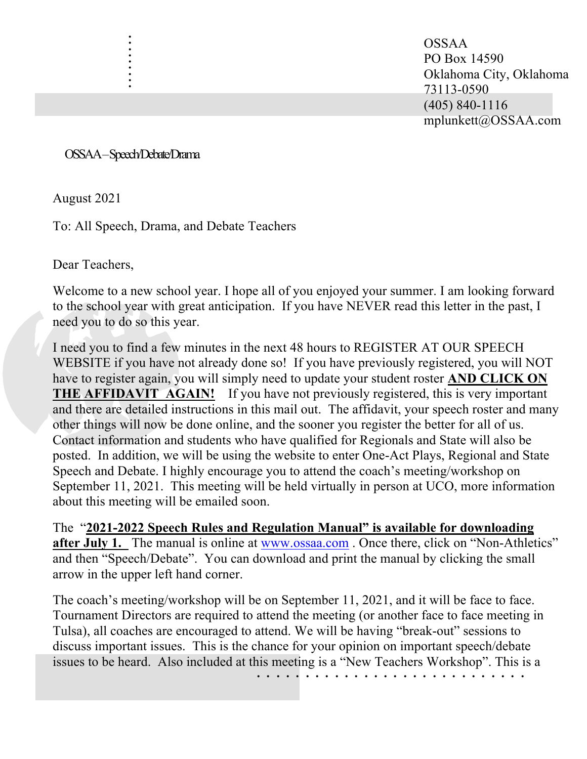. . . . . . . . . OSSAA PO Box 14590 Oklahoma City, Oklahoma 73113-0590 (405) 840-1116 mplunkett@OSSAA.com

OSSAA –Speech/Debate/Drama

August 2021

To: All Speech, Drama, and Debate Teachers

Dear Teachers,

Welcome to a new school year. I hope all of you enjoyed your summer. I am looking forward to the school year with great anticipation. If you have NEVER read this letter in the past, I need you to do so this year.

I need you to find a few minutes in the next 48 hours to REGISTER AT OUR SPEECH WEBSITE if you have not already done so! If you have previously registered, you will NOT have to register again, you will simply need to update your student roster **AND CLICK ON THE AFFIDAVIT AGAIN!** If you have not previously registered, this is very important and there are detailed instructions in this mail out. The affidavit, your speech roster and many other things will now be done online, and the sooner you register the better for all of us. Contact information and students who have qualified for Regionals and State will also be posted. In addition, we will be using the website to enter One-Act Plays, Regional and State Speech and Debate. I highly encourage you to attend the coach's meeting/workshop on September 11, 2021. This meeting will be held virtually in person at UCO, more information about this meeting will be emailed soon.

The "**2021-2022 Speech Rules and Regulation Manual" is available for downloading after July 1.** The manual is online at www.ossaa.com. Once there, click on "Non-Athletics" and then "Speech/Debate". You can download and print the manual by clicking the small arrow in the upper left hand corner.

issues to be heard. Also included at this meeting is a "New Teachers Workshop". This is a  $\dots \dots \dots \dots \dots \dots$ The coach's meeting/workshop will be on September 11, 2021, and it will be face to face. Tournament Directors are required to attend the meeting (or another face to face meeting in Tulsa), all coaches are encouraged to attend. We will be having "break-out" sessions to discuss important issues. This is the chance for your opinion on important speech/debate